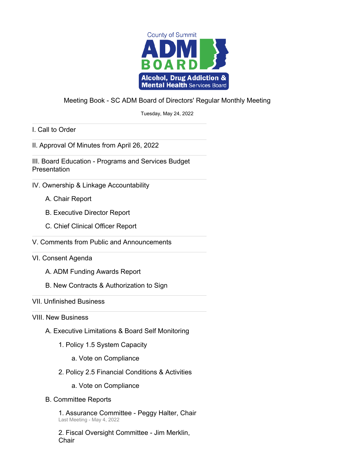

#### Meeting Book - SC ADM Board of Directors' Regular Monthly Meeting

Tuesday, May 24, 2022

I. Call to Order

II. Approval Of Minutes from April 26, 2022

III. Board Education - Programs and Services Budget **Presentation** 

- IV. Ownership & Linkage Accountability
	- A. Chair Report
	- B. Executive Director Report
	- C. Chief Clinical Officer Report
- V. Comments from Public and Announcements

#### VI. Consent Agenda

- A. ADM Funding Awards Report
- B. New Contracts & Authorization to Sign

#### VII. Unfinished Business

VIII. New Business

- A. Executive Limitations & Board Self Monitoring
	- 1. Policy 1.5 System Capacity
		- a. Vote on Compliance
	- 2. Policy 2.5 Financial Conditions & Activities
		- a. Vote on Compliance
- B. Committee Reports

1. Assurance Committee - Peggy Halter, Chair Last Meeting - May 4, 2022

2. Fiscal Oversight Committee - Jim Merklin, **Chair**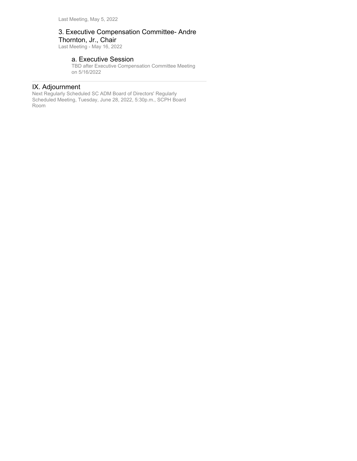#### 3. Executive Compensation Committee- Andre Thornton, Jr., Chair

Last Meeting - May 16, 2022

#### a. Executive Session

TBD after Executive Compensation Committee Meeting on 5/16/2022

#### IX. Adjournment

Next Regularly Scheduled SC ADM Board of Directors' Regularly Scheduled Meeting, Tuesday, June 28, 2022, 5:30p.m., SCPH Board Room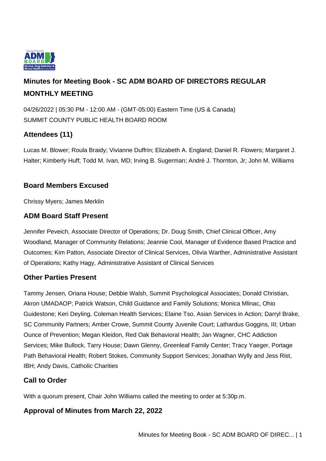

# **Minutes for Meeting Book - SC ADM BOARD OF DIRECTORS REGULAR MONTHLY MEETING**

04/26/2022 | 05:30 PM - 12:00 AM - (GMT-05:00) Eastern Time (US & Canada) SUMMIT COUNTY PUBLIC HEALTH BOARD ROOM

## **Attendees (11)**

Lucas M. Blower; Roula Braidy; Vivianne Duffrin; Elizabeth A. England; Daniel R. Flowers; Margaret J. Halter; Kimberly Huff; Todd M. Ivan, MD; Irving B. Sugerman; Andrè J. Thornton, Jr; John M. Williams

### **Board Members Excused**

Chrissy Myers; James Merklin

### **ADM Board Staff Present**

Jennifer Peveich, Associate Director of Operations; Dr. Doug Smith, Chief Clinical Officer, Amy Woodland, Manager of Community Relations; Jeannie Cool, Manager of Evidence Based Practice and Outcomes; Kim Patton, Associate Director of Clinical Services, Olivia Warther, Administrative Assistant of Operations; Kathy Hagy, Administrative Assistant of Clinical Services

### **Other Parties Present**

Tammy Jensen, Oriana House; Debbie Walsh, Summit Psychological Associates; Donald Christian, Akron UMADAOP; Patrick Watson, Child Guidance and Family Solutions; Monica Mlinac, Ohio Guidestone; Keri Deyling, Coleman Health Services; Elaine Tso, Asian Services in Action; Darryl Brake, SC Community Partners; Amber Crowe, Summit County Juvenile Court; Lathardus Goggins, III; Urban Ounce of Prevention; Megan Kleidon, Red Oak Behavioral Health; Jan Wagner, CHC Addiction Services; Mike Bullock, Tarry House; Dawn Glenny, Greenleaf Family Center; Tracy Yaeger, Portage Path Behavioral Health; Robert Stokes, Community Support Services; Jonathan Wylly and Jess Rist, IBH; Andy Davis, Catholic Charities

### **Call to Order**

With a quorum present, Chair John Williams called the meeting to order at 5:30p.m.

### **Approval of Minutes from March 22, 2022**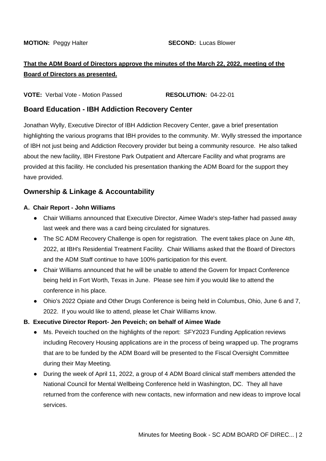## **That the ADM Board of Directors approve the minutes of the March 22, 2022, meeting of the Board of Directors as presented.**

**VOTE:** Verbal Vote - Motion Passed **RESOLUTION:** 04-22-01

#### **Board Education - IBH Addiction Recovery Center**

Jonathan Wylly, Executive Director of IBH Addiction Recovery Center, gave a brief presentation highlighting the various programs that IBH provides to the community. Mr. Wylly stressed the importance of IBH not just being and Addiction Recovery provider but being a community resource. He also talked about the new facility, IBH Firestone Park Outpatient and Aftercare Facility and what programs are provided at this facility. He concluded his presentation thanking the ADM Board for the support they have provided.

### **Ownership & Linkage & Accountability**

#### **A. Chair Report - John Williams**

- Chair Williams announced that Executive Director, Aimee Wade's step-father had passed away last week and there was a card being circulated for signatures.
- The SC ADM Recovery Challenge is open for registration. The event takes place on June 4th, 2022, at IBH's Residential Treatment Facility. Chair Williams asked that the Board of Directors and the ADM Staff continue to have 100% participation for this event.
- Chair Williams announced that he will be unable to attend the Govern for Impact Conference being held in Fort Worth, Texas in June. Please see him if you would like to attend the conference in his place.
- Ohio's 2022 Opiate and Other Drugs Conference is being held in Columbus, Ohio, June 6 and 7, 2022. If you would like to attend, please let Chair Williams know.

#### **B. Executive Director Report- Jen Peveich; on behalf of Aimee Wade**

- Ms. Peveich touched on the highlights of the report: SFY2023 Funding Application reviews including Recovery Housing applications are in the process of being wrapped up. The programs that are to be funded by the ADM Board will be presented to the Fiscal Oversight Committee during their May Meeting.
- During the week of April 11, 2022, a group of 4 ADM Board clinical staff members attended the National Council for Mental Wellbeing Conference held in Washington, DC. They all have returned from the conference with new contacts, new information and new ideas to improve local services.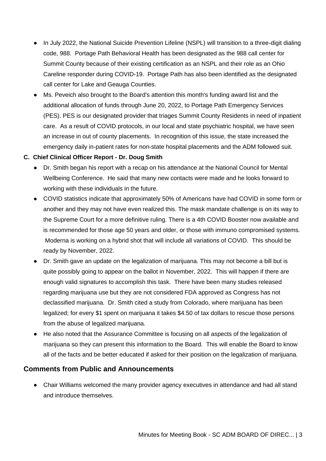- In July 2022, the National Suicide Prevention Lifeline (NSPL) will transition to a three-digit dialing code, 988. Portage Path Behavioral Health has been designated as the 988 call center for Summit County because of their existing certification as an NSPL and their role as an Ohio Careline responder during COVID-19. Portage Path has also been identified as the designated call center for Lake and Geauga Counties.
- Ms. Peveich also brought to the Board's attention this month's funding award list and the additional allocation of funds through June 20, 2022, to Portage Path Emergency Services (PES). PES is our designated provider that triages Summit County Residents in need of inpatient care. As a result of COVID protocols, in our local and state psychiatric hospital, we have seen an increase in out of county placements. In recognition of this issue, the state increased the emergency daily in-patient rates for non-state hospital placements and the ADM followed suit.

#### **C. Chief Clinical Officer Report - Dr. Doug Smith**

- Dr. Smith began his report with a recap on his attendance at the National Council for Mental Wellbeing Conference. He said that many new contacts were made and he looks forward to working with these individuals in the future.
- COVID statistics indicate that approximately 50% of Americans have had COVID in some form or another and they may not have even realized this. The mask mandate challenge is on its way to the Supreme Court for a more definitive ruling. There is a 4th COVID Booster now available and is recommended for those age 50 years and older, or those with immuno compromised systems. Moderna is working on a hybrid shot that will include all variations of COVID. This should be ready by November, 2022.
- Dr. Smith gave an update on the legalization of marijuana. This may not become a bill but is quite possibly going to appear on the ballot in November, 2022. This will happen if there are enough valid signatures to accomplish this task. There have been many studies released regarding marijuana use but they are not considered FDA approved as Congress has not declassified marijuana. Dr. Smith cited a study from Colorado, where marijuana has been legalized; for every \$1 spent on marijuana it takes \$4.50 of tax dollars to rescue those persons from the abuse of legalized marijuana.
- He also noted that the Assurance Committee is focusing on all aspects of the legalization of marijuana so they can present this information to the Board. This will enable the Board to know all of the facts and be better educated if asked for their position on the legalization of marijuana.

### **Comments from Public and Announcements**

• Chair Williams welcomed the many provider agency executives in attendance and had all stand and introduce themselves.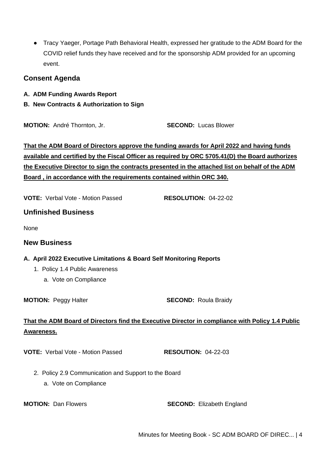● Tracy Yaeger, Portage Path Behavioral Health, expressed her gratitude to the ADM Board for the COVID relief funds they have received and for the sponsorship ADM provided for an upcoming event.

#### **Consent Agenda**

- **A. ADM Funding Awards Report**
- **B. New Contracts & Authorization to Sign**

**MOTION:** André Thornton, Jr. **SECOND:** Lucas Blower

**That the ADM Board of Directors approve the funding awards for April 2022 and having funds available and certified by the Fiscal Officer as required by ORC 5705.41(D) the Board authorizes the Executive Director to sign the contracts presented in the attached list on behalf of the ADM Board , in accordance with the requirements contained within ORC 340.**

**VOTE:** Verbal Vote - Motion Passed **RESOLUTION:** 04-22-02

**Unfinished Business**

None

#### **New Business**

#### **A. April 2022 Executive Limitations & Board Self Monitoring Reports**

- 1. Policy 1.4 Public Awareness
	- a. Vote on Compliance

**MOTION:** Peggy Halter **SECOND:** Roula Braidy

### **That the ADM Board of Directors find the Executive Director in compliance with Policy 1.4 Public Awareness.**

**VOTE:** Verbal Vote - Motion Passed **RESOUTION:** 04-22-03

- 2. Policy 2.9 Communication and Support to the Board
	- a. Vote on Compliance

**MOTION:** Dan Flowers **SECOND:** Elizabeth England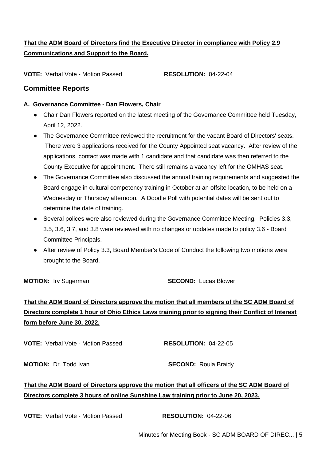## **That the ADM Board of Directors find the Executive Director in compliance with Policy 2.9 Communications and Support to the Board.**

**VOTE:** Verbal Vote - Motion Passed **RESOLUTION:** 04-22-04

#### **Committee Reports**

#### **A. Governance Committee - Dan Flowers, Chair**

- Chair Dan Flowers reported on the latest meeting of the Governance Committee held Tuesday, April 12, 2022.
- The Governance Committee reviewed the recruitment for the vacant Board of Directors' seats. There were 3 applications received for the County Appointed seat vacancy. After review of the applications, contact was made with 1 candidate and that candidate was then referred to the County Executive for appointment. There still remains a vacancy left for the OMHAS seat.
- The Governance Committee also discussed the annual training requirements and suggested the Board engage in cultural competency training in October at an offsite location, to be held on a Wednesday or Thursday afternoon. A Doodle Poll with potential dates will be sent out to determine the date of training.
- Several polices were also reviewed during the Governance Committee Meeting. Policies 3.3, 3.5, 3.6, 3.7, and 3.8 were reviewed with no changes or updates made to policy 3.6 - Board Committee Principals.
- After review of Policy 3.3, Board Member's Code of Conduct the following two motions were brought to the Board.

**MOTION:** Irv Sugerman **SECOND:** Lucas Blower

# **That the ADM Board of Directors approve the motion that all members of the SC ADM Board of Directors complete 1 hour of Ohio Ethics Laws training prior to signing their Conflict of Interest form before June 30, 2022.**

**VOTE:** Verbal Vote - Motion Passed **RESOLUTION:** 04-22-05

**MOTION:** Dr. Todd Ivan **SECOND:** Roula Braidy

## **That the ADM Board of Directors approve the motion that all officers of the SC ADM Board of Directors complete 3 hours of online Sunshine Law training prior to June 20, 2023.**

**VOTE:** Verbal Vote - Motion Passed **RESOLUTION:** 04-22-06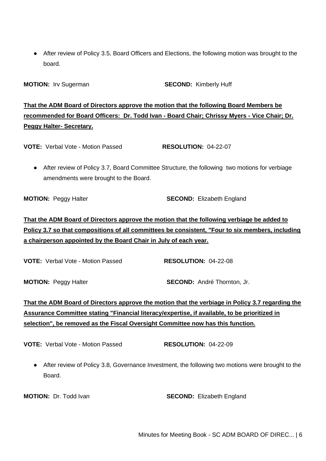• After review of Policy 3.5, Board Officers and Elections, the following motion was brought to the board.

**MOTION:** Irv Sugerman **SECOND:** Kimberly Huff

**That the ADM Board of Directors approve the motion that the following Board Members be recommended for Board Officers: Dr. Todd Ivan - Board Chair; Chrissy Myers - Vice Chair; Dr. Peggy Halter- Secretary.**

**VOTE:** Verbal Vote - Motion Passed **RESOLUTION:** 04-22-07

● After review of Policy 3.7, Board Committee Structure, the following two motions for verbiage amendments were brought to the Board.

**MOTION:** Peggy Halter **SECOND:** Elizabeth England

# **That the ADM Board of Directors approve the motion that the following verbiage be added to Policy 3.7 so that compositions of all committees be consistent, "Four to six members, including a chairperson appointed by the Board Chair in July of each year.**

**VOTE:** Verbal Vote - Motion Passed **RESOLUTION:** 04-22-08

**MOTION:** Peggy Halter **SECOND:** André Thornton, Jr.

# **That the ADM Board of Directors approve the motion that the verbiage in Policy 3.7 regarding the Assurance Committee stating "Financial literacy/expertise, if available, to be prioritized in selection", be removed as the Fiscal Oversight Committee now has this function.**

**VOTE:** Verbal Vote - Motion Passed **RESOLUTION:** 04-22-09

● After review of Policy 3.8, Governance Investment, the following two motions were brought to the **Board** 

**MOTION:** Dr. Todd Ivan **SECOND:** Elizabeth England